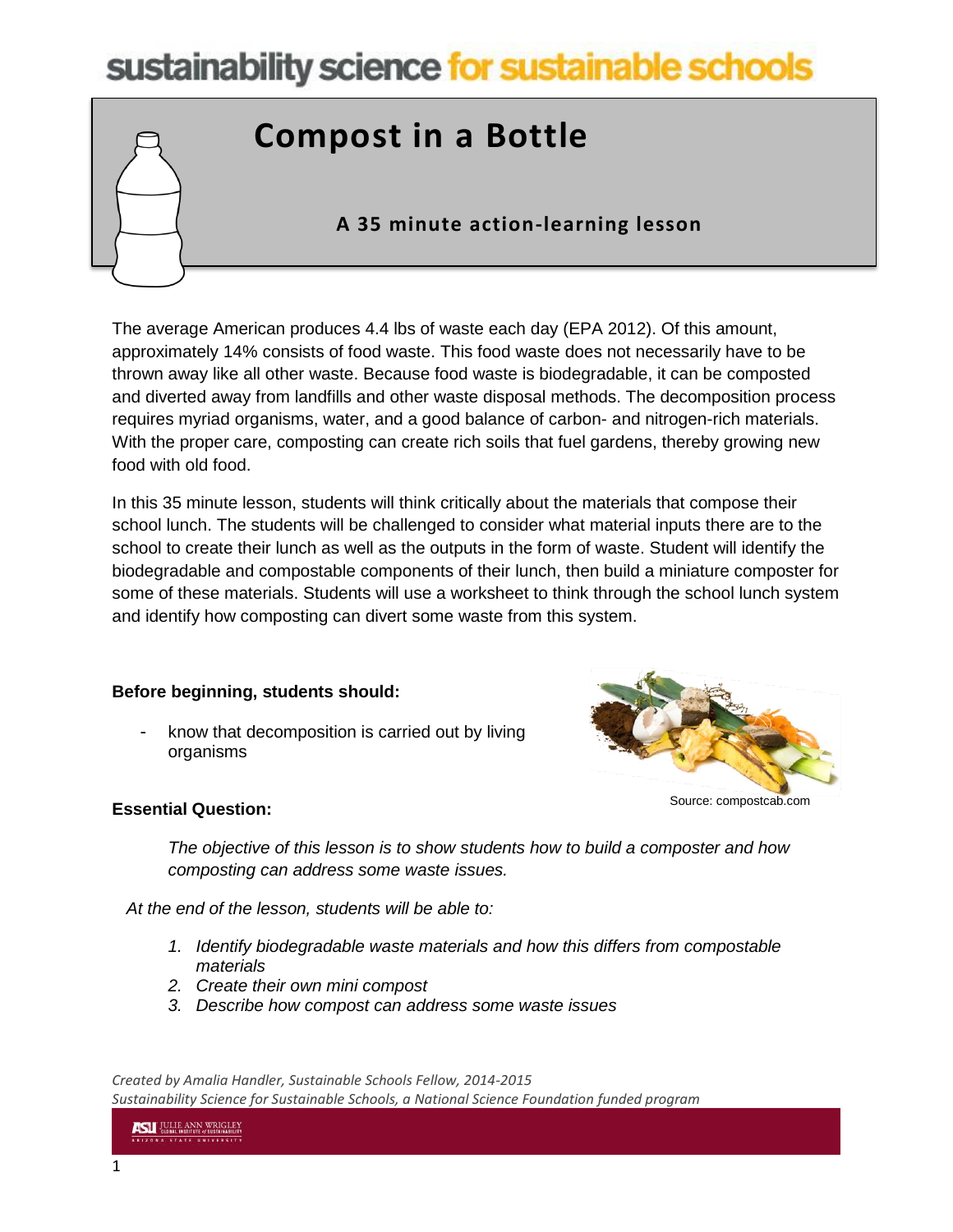# sustainability science for sustainable schools

## **Compost in a Bottle**

### **A 35 minute action-learning lesson**

The average American produces 4.4 lbs of waste each day (EPA 2012). Of this amount, approximately 14% consists of food waste. This food waste does not necessarily have to be thrown away like all other waste. Because food waste is biodegradable, it can be composted and diverted away from landfills and other waste disposal methods. The decomposition process requires myriad organisms, water, and a good balance of carbon- and nitrogen-rich materials. With the proper care, composting can create rich soils that fuel gardens, thereby growing new food with old food.

In this 35 minute lesson, students will think critically about the materials that compose their school lunch. The students will be challenged to consider what material inputs there are to the school to create their lunch as well as the outputs in the form of waste. Student will identify the biodegradable and compostable components of their lunch, then build a miniature composter for some of these materials. Students will use a worksheet to think through the school lunch system and identify how composting can divert some waste from this system.

#### **Before beginning, students should:**

know that decomposition is carried out by living organisms



#### **Essential Question:**

*The objective of this lesson is to show students how to build a composter and how composting can address some waste issues.*

 *At the end of the lesson, students will be able to:*

- *1. Identify biodegradable waste materials and how this differs from compostable materials*
- *2. Create their own mini compost*
- *3. Describe how compost can address some waste issues*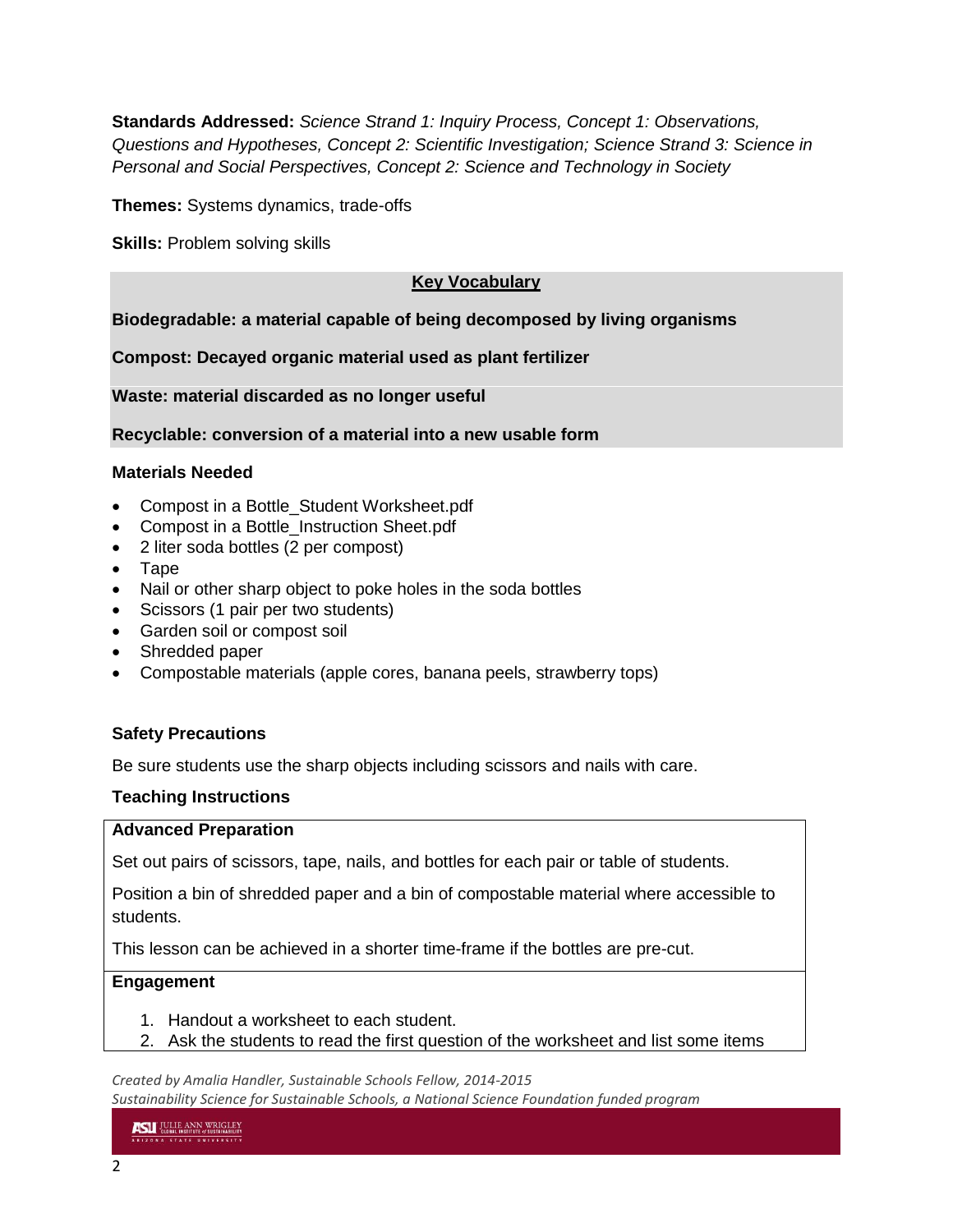**Standards Addressed:** *Science Strand 1: Inquiry Process, Concept 1: Observations, Questions and Hypotheses, Concept 2: Scientific Investigation; Science Strand 3: Science in Personal and Social Perspectives, Concept 2: Science and Technology in Society*

**Themes:** Systems dynamics, trade-offs

**Skills: Problem solving skills** 

#### **Key Vocabulary**

#### **Biodegradable: a material capable of being decomposed by living organisms**

**Compost: Decayed organic material used as plant fertilizer**

**Waste: material discarded as no longer useful**

**Recyclable: conversion of a material into a new usable form**

#### **Materials Needed**

- Compost in a Bottle\_Student Worksheet.pdf
- Compost in a Bottle\_Instruction Sheet.pdf
- 2 liter soda bottles (2 per compost)
- Tape
- Nail or other sharp object to poke holes in the soda bottles
- Scissors (1 pair per two students)
- Garden soil or compost soil
- Shredded paper
- Compostable materials (apple cores, banana peels, strawberry tops)

#### **Safety Precautions**

Be sure students use the sharp objects including scissors and nails with care.

#### **Teaching Instructions**

#### **Advanced Preparation**

Set out pairs of scissors, tape, nails, and bottles for each pair or table of students.

Position a bin of shredded paper and a bin of compostable material where accessible to students.

This lesson can be achieved in a shorter time-frame if the bottles are pre-cut.

#### **Engagement**

- 1. Handout a worksheet to each student.
- 2. Ask the students to read the first question of the worksheet and list some items

*Created by Amalia Handler, Sustainable Schools Fellow, 2014-2015*

*Sustainability Science for Sustainable Schools, a National Science Foundation funded program*

**ASLI** JULIE ANN WRIGLEY IZONA STATE UNIVERSIT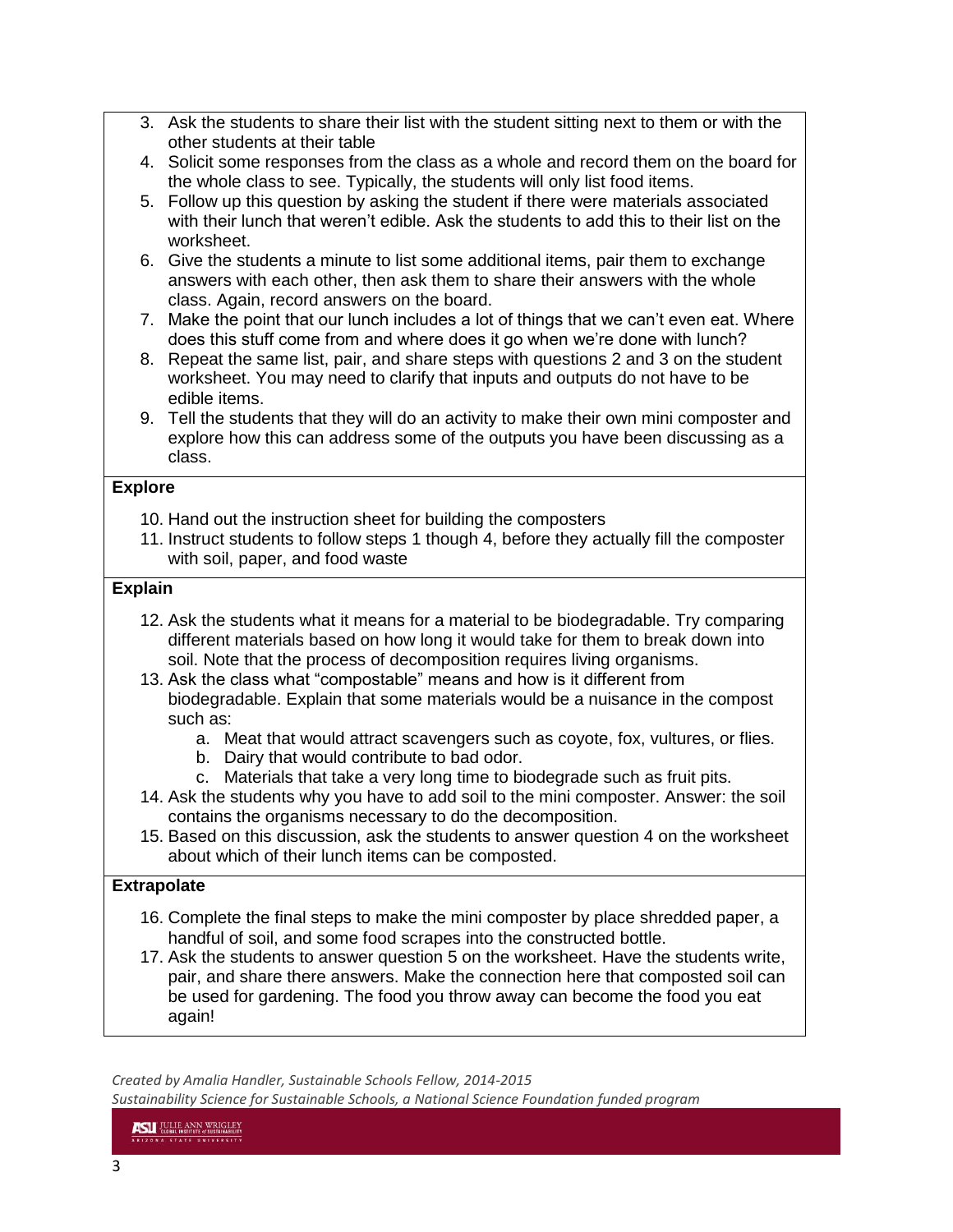- 3. Ask the students to share their list with the student sitting next to them or with the other students at their table
- 4. Solicit some responses from the class as a whole and record them on the board for the whole class to see. Typically, the students will only list food items.
- 5. Follow up this question by asking the student if there were materials associated with their lunch that weren't edible. Ask the students to add this to their list on the worksheet.
- 6. Give the students a minute to list some additional items, pair them to exchange answers with each other, then ask them to share their answers with the whole class. Again, record answers on the board.
- 7. Make the point that our lunch includes a lot of things that we can't even eat. Where does this stuff come from and where does it go when we're done with lunch?
- 8. Repeat the same list, pair, and share steps with questions 2 and 3 on the student worksheet. You may need to clarify that inputs and outputs do not have to be edible items.
- 9. Tell the students that they will do an activity to make their own mini composter and explore how this can address some of the outputs you have been discussing as a class.

#### **Explore**

- 10. Hand out the instruction sheet for building the composters
- 11. Instruct students to follow steps 1 though 4, before they actually fill the composter with soil, paper, and food waste

#### **Explain**

- 12. Ask the students what it means for a material to be biodegradable. Try comparing different materials based on how long it would take for them to break down into soil. Note that the process of decomposition requires living organisms.
- 13. Ask the class what "compostable" means and how is it different from biodegradable. Explain that some materials would be a nuisance in the compost such as:
	- a. Meat that would attract scavengers such as coyote, fox, vultures, or flies.
	- b. Dairy that would contribute to bad odor.
	- c. Materials that take a very long time to biodegrade such as fruit pits.
- 14. Ask the students why you have to add soil to the mini composter. Answer: the soil contains the organisms necessary to do the decomposition.
- 15. Based on this discussion, ask the students to answer question 4 on the worksheet about which of their lunch items can be composted.

#### **Extrapolate**

- 16. Complete the final steps to make the mini composter by place shredded paper, a handful of soil, and some food scrapes into the constructed bottle.
- 17. Ask the students to answer question 5 on the worksheet. Have the students write, pair, and share there answers. Make the connection here that composted soil can be used for gardening. The food you throw away can become the food you eat again!

*Created by Amalia Handler, Sustainable Schools Fellow, 2014-2015*

*Sustainability Science for Sustainable Schools, a National Science Foundation funded program*

**ASLI** JULIE ANN WRIGLEY **LIZONA STATE UNIVERSIT**